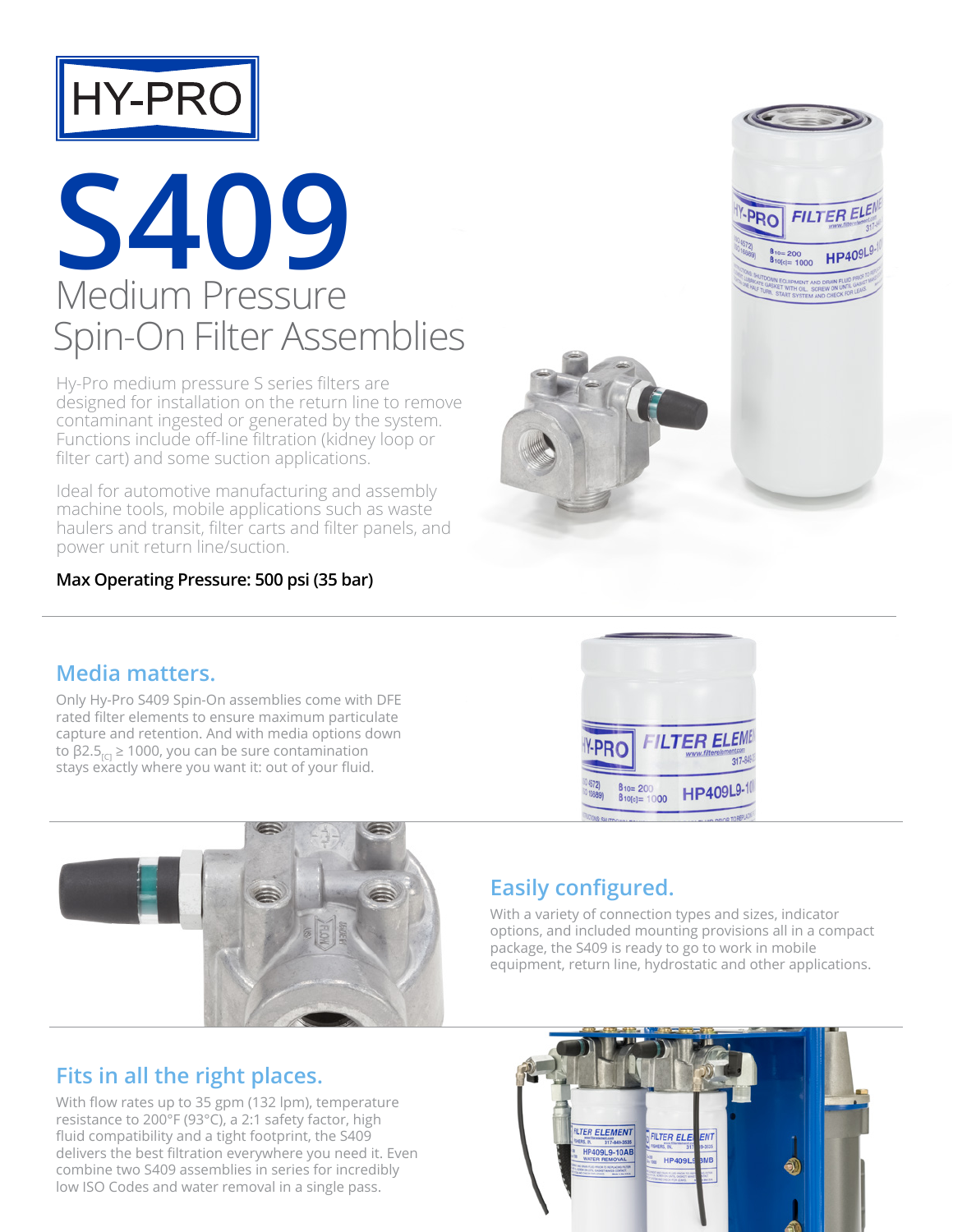

### **S409** Medium Pressure Spin-On Filter Assemblies

Hy-Pro medium pressure S series filters are designed for installation on the return line to remove contaminant ingested or generated by the system. Functions include off-line filtration (kidney loop or filter cart) and some suction applications.

Ideal for automotive manufacturing and assembly machine tools, mobile applications such as waste haulers and transit, filter carts and filter panels, and power unit return line/suction.

#### **Max Operating Pressure: 500 psi (35 bar)**

#### **Media matters.**

Only Hy-Pro S409 Spin-On assemblies come with DFE rated filter elements to ensure maximum particulate capture and retention. And with media options down to β2.5 $_{\text{rel}}$  ≥ 1000, you can be sure contamination stays exactly where you want it: out of your fluid.



### **Easily configured.**

With a variety of connection types and sizes, indicator options, and included mounting provisions all in a compact package, the S409 is ready to go to work in mobile equipment, return line, hydrostatic and other applications.

#### **Fits in all the right places.**

With flow rates up to 35 gpm (132 lpm), temperature resistance to 200°F (93°C), a 2:1 safety factor, high fluid compatibility and a tight footprint, the S409 delivers the best filtration everywhere you need it. Even combine two S409 assemblies in series for incredibly low ISO Codes and water removal in a single pass.





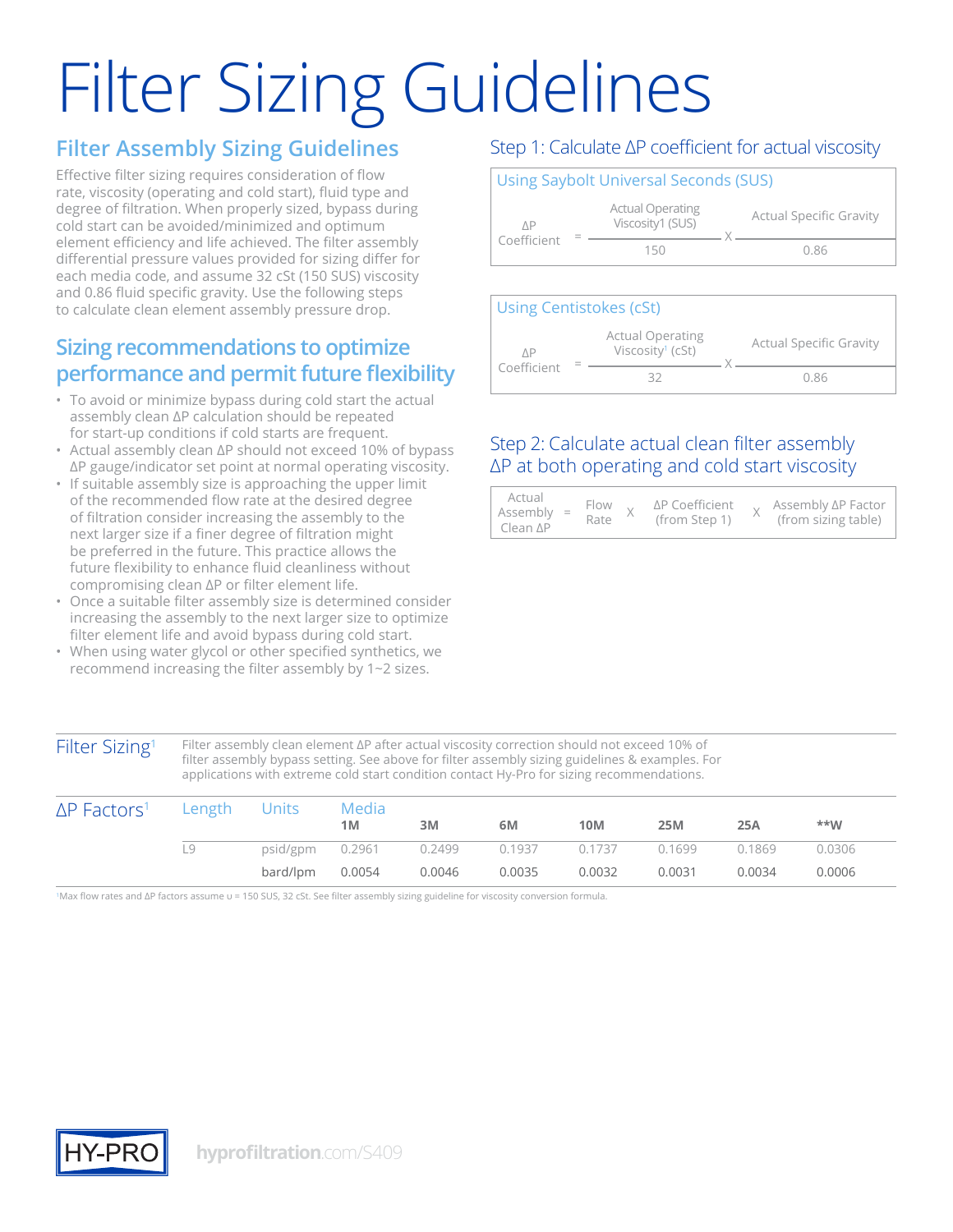# Filter Sizing Guidelines

#### **Filter Assembly Sizing Guidelines**

Effective filter sizing requires consideration of flow rate, viscosity (operating and cold start), fluid type and degree of filtration. When properly sized, bypass during cold start can be avoided/minimized and optimum element efficiency and life achieved. The filter assembly differential pressure values provided for sizing differ for each media code, and assume 32 cSt (150 SUS) viscosity and 0.86 fluid specific gravity. Use the following steps to calculate clean element assembly pressure drop.

#### **Sizing recommendations to optimize performance and permit future flexibility**

- To avoid or minimize bypass during cold start the actual assembly clean ΔP calculation should be repeated for start-up conditions if cold starts are frequent.
- Actual assembly clean ΔP should not exceed 10% of bypass ∆P gauge/indicator set point at normal operating viscosity.
- If suitable assembly size is approaching the upper limit of the recommended flow rate at the desired degree of filtration consider increasing the assembly to the next larger size if a finer degree of filtration might be preferred in the future. This practice allows the future flexibility to enhance fluid cleanliness without compromising clean ΔP or filter element life.
- Once a suitable filter assembly size is determined consider increasing the assembly to the next larger size to optimize filter element life and avoid bypass during cold start.
- When using water glycol or other specified synthetics, we recommend increasing the filter assembly by 1~2 sizes.

#### Step 1: Calculate ΔP coefficient for actual viscosity

#### Using Saybolt Universal Seconds (SUS) ΔP Coefficient Actual Operating Viscosity1 (SUS) X Actual Specific Gravity 150 0.86



#### Step 2: Calculate actual clean filter assembly ΔP at both operating and cold start viscosity

| Actual<br>$Assembly =$<br>$Clear$ $\Delta P$ |  | $Flow \t,$<br>Rate |  | ∆P Coefficient<br>(from Step 1) |  | Assembly ∆P Factor<br>(from sizing table) |
|----------------------------------------------|--|--------------------|--|---------------------------------|--|-------------------------------------------|
|----------------------------------------------|--|--------------------|--|---------------------------------|--|-------------------------------------------|

Filter Sizing<sup>1</sup> Filter assembly clean element ΔP after actual viscosity correction should not exceed 10% of filter assembly bypass setting. See above for filter assembly sizing guidelines & examples. For applications with extreme cold start condition contact Hy-Pro for sizing recommendations.

| $\Delta P$ Factors <sup>1</sup> | Length Units |                 | Media<br>1M            | 3M     | 6M            | <b>10M</b> | 25M    | 25A    | $***M$ |
|---------------------------------|--------------|-----------------|------------------------|--------|---------------|------------|--------|--------|--------|
|                                 | 19           |                 | psid/gpm 0.2961 0.2499 |        | 0.1937 0.1737 |            | 0.1699 | 0.1869 | 0.0306 |
|                                 |              | bard/lpm 0.0054 |                        | 0.0046 | 0.0035        | 0.0032     | 0.0031 | 0.0034 | 0.0006 |

1Max flow rates and ΔP factors assume υ = 150 SUS, 32 cSt. See filter assembly sizing guideline for viscosity conversion formula.

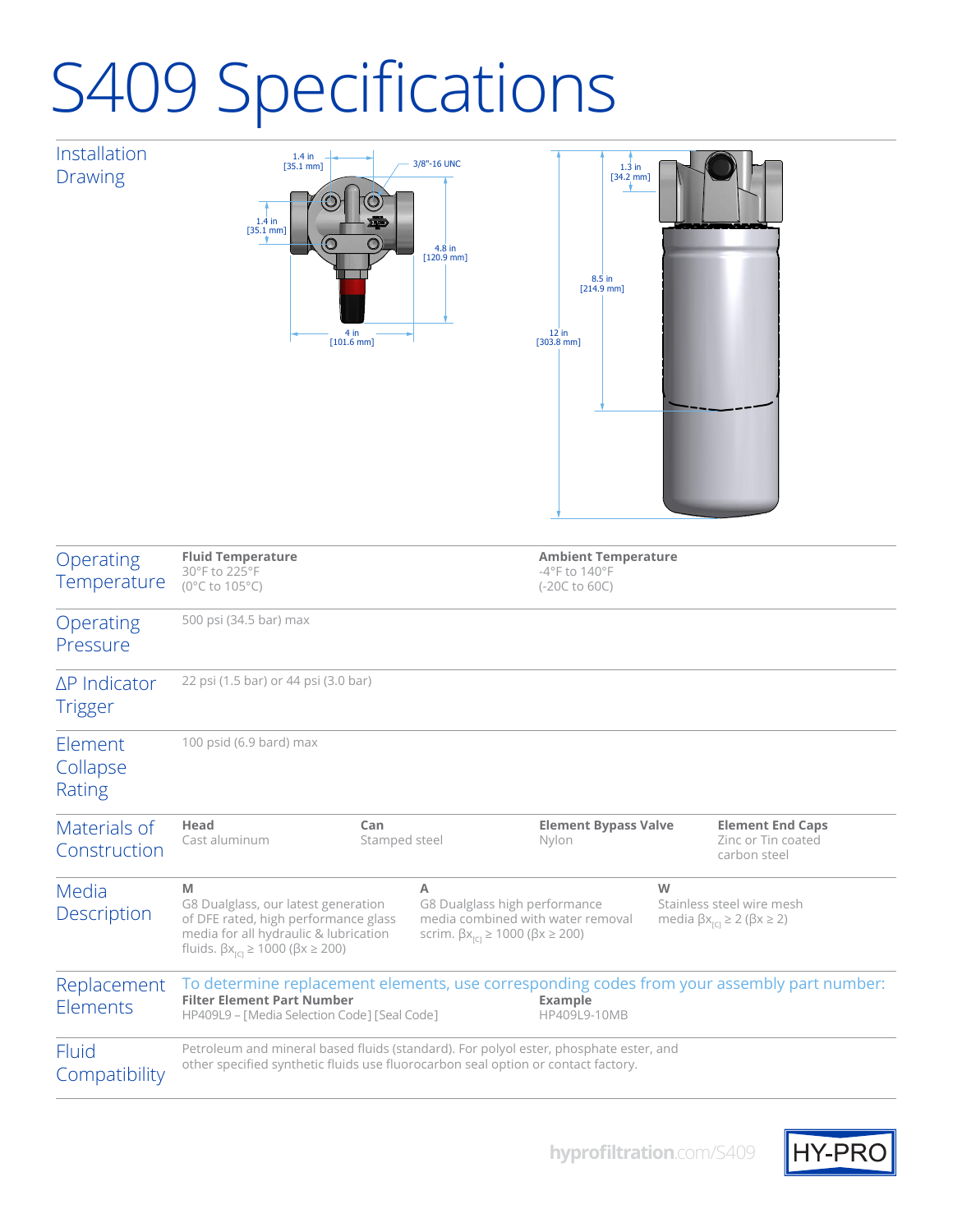## S409 Specifications

Installation Drawing





| Operating<br>Temperature               | <b>Fluid Temperature</b><br>30°F to 225°F<br>(0°C to 105°C)                                                                                                                                                       |   |                                                                                                                                                                                                                               | <b>Ambient Temperature</b><br>$-4$ °F to 140°F<br>$(-20C to 60C)$ |  |                                                               |  |  |  |  |  |
|----------------------------------------|-------------------------------------------------------------------------------------------------------------------------------------------------------------------------------------------------------------------|---|-------------------------------------------------------------------------------------------------------------------------------------------------------------------------------------------------------------------------------|-------------------------------------------------------------------|--|---------------------------------------------------------------|--|--|--|--|--|
| Operating<br>Pressure                  | 500 psi (34.5 bar) max                                                                                                                                                                                            |   |                                                                                                                                                                                                                               |                                                                   |  |                                                               |  |  |  |  |  |
| $\Delta P$ Indicator<br><b>Trigger</b> | 22 psi (1.5 bar) or 44 psi (3.0 bar)                                                                                                                                                                              |   |                                                                                                                                                                                                                               |                                                                   |  |                                                               |  |  |  |  |  |
| Element<br>Collapse<br>Rating          | 100 psid (6.9 bard) max                                                                                                                                                                                           |   |                                                                                                                                                                                                                               |                                                                   |  |                                                               |  |  |  |  |  |
| Materials of<br>Construction           | Head<br>Can<br>Cast aluminum<br>Stamped steel                                                                                                                                                                     |   |                                                                                                                                                                                                                               | <b>Element Bypass Valve</b><br>Nylon                              |  | <b>Element End Caps</b><br>Zinc or Tin coated<br>carbon steel |  |  |  |  |  |
| Media<br>Description                   | M<br>G8 Dualglass, our latest generation<br>of DFE rated, high performance glass<br>media for all hydraulic & lubrication<br>fluids. $\beta x_{\text{ref}} \ge 1000$ ( $\beta x \ge 200$ )                        | A | W<br>G8 Dualglass high performance<br>Stainless steel wire mesh<br>media combined with water removal<br>media $\beta x_{\text{ref}} \ge 2$ ( $\beta x \ge 2$ )<br>scrim. $\beta x_{\text{rc}} \ge 1000$ ( $\beta x \ge 200$ ) |                                                                   |  |                                                               |  |  |  |  |  |
| Replacement<br>Elements                | To determine replacement elements, use corresponding codes from your assembly part number:<br><b>Filter Element Part Number</b><br><b>Example</b><br>HP409L9 - [Media Selection Code] [Seal Code]<br>HP409L9-10MB |   |                                                                                                                                                                                                                               |                                                                   |  |                                                               |  |  |  |  |  |
| Fluid<br>Compatibility                 | Petroleum and mineral based fluids (standard). For polyol ester, phosphate ester, and<br>other specified synthetic fluids use fluorocarbon seal option or contact factory.                                        |   |                                                                                                                                                                                                                               |                                                                   |  |                                                               |  |  |  |  |  |